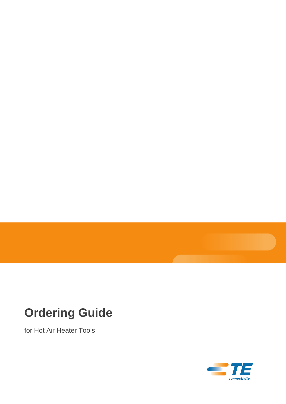# **Ordering Guide**

for Hot Air Heater Tools

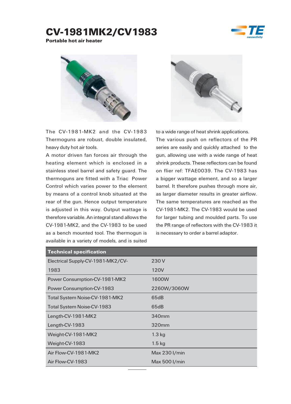## CV-1981MK2/CV1983



Portable hot air heater



The CV-1981-MK2 and the CV-1983 Thermoguns are robust, double insulated, heavy duty hot air tools.

A motor driven fan forces air through the heating element which is enclosed in a stainless steel barrel and safety guard. The thermoguns are fitted with a Triac Power Control which varies power to the element by means of a control knob situated at the rear of the gun. Hence output temperature is adjusted in this way. Output wattage is therefore variable. An integral stand allows the CV-1981-MK2, and the CV-1983 to be used as a bench mounted tool. The thermogun is available in a variety of models, and is suited



to a wide range of heat shrink applications.

The various push on reflectors of the PR series are easily and quickly attached to the gun, allowing use with a wide range of heat shrink products. These reflectors can be found on flier ref: TFAE0039. The CV-1983 has a bigger wattage element, and so a larger barrel. It therefore pushes through more air, as larger diameter results in greater airflow. The same temperatures are reached as the CV-1981-MK2. The CV-1983 would be used for larger tubing and moulded parts. To use the PR range of reflectors with the CV-1983 it is necessary to order a barrel adaptor.

| <b>Technical specification</b>    |                   |
|-----------------------------------|-------------------|
| Electrical Supply-CV-1981-MK2/CV- | 230 V             |
| 1983                              | 120V              |
| Power Consumption-CV-1981-MK2     | 1600W             |
| Power Consumption-CV-1983         | 2260W/3060W       |
| Total System Noise-CV-1981-MK2    | 65dB              |
| Total System Noise-CV-1983        | 65dB              |
| Length-CV-1981-MK2                | 340 <sub>mm</sub> |
| Length-CV-1983                    | 320 <sub>mm</sub> |
| Weight-CV-1981-MK2                | $1.3$ kg          |
| Weight-CV-1983                    | $1.5$ kg          |
| Air Flow-CV-1981-MK2              | Max 230 I/min     |
| Air Flow-CV-1983                  | Max 500 I/min     |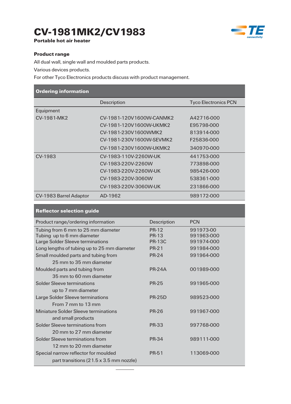## CV-1981MK2/CV1983



Portable hot air heater

#### Product range

All dual wall, single wall and moulded parts products.

Various devices products.

Reflector selection guide

For other Tyco Electronics products discuss with product management.

| <b>Ordering information</b> |                          |                             |
|-----------------------------|--------------------------|-----------------------------|
|                             | Description              | <b>Tyco Electronics PCN</b> |
| Equipment                   |                          |                             |
| CV-1981-MK2                 | CV-1981-120V1600W-CANMK2 | A42716-000                  |
|                             | CV-1981-120V1600W-UKMK2  | E95798-000                  |
|                             | CV-1981-230V1600WMK2     | 813914-000                  |
|                             | CV-1981-230V1600W-SEVMK2 | F25836-000                  |
|                             | CV-1981-230V1600W-UKMK2  | 340970-000                  |
| CV-1983                     | CV-1983-110V-2260W-UK    | 441753-000                  |
|                             | CV-1983-220V-2260W       | 773898-000                  |
|                             | CV-1983-220V-2260W-UK    | 985426-000                  |
|                             | CV-1983-220V-3060W       | 538361-000                  |
|                             | CV-1983-220V-3060W-UK    | 231866-000                  |
| CV-1983 Barrel Adaptor      | AD-1962                  | 989172-000                  |

| <u> 10. mars 10. mars 10. mars 10. mars 10. mars 10. mars 10. mars 10. mars 10. mars 10. mars 10. mars 10. mars 1</u> |               |            |
|-----------------------------------------------------------------------------------------------------------------------|---------------|------------|
| Product range/ordering information                                                                                    | Description   | <b>PCN</b> |
| Tubing from 6 mm to 25 mm diameter                                                                                    | <b>PR-12</b>  | 991973-00  |
| Tubing up to 6 mm diameter                                                                                            | <b>PR-13</b>  | 991963-000 |
| Large Solder Sleeve terminations                                                                                      | <b>PR-13C</b> | 991974-000 |
| Long lengths of tubing up to 25 mm diameter                                                                           | <b>PR-21</b>  | 991984-000 |
| Small moulded parts and tubing from                                                                                   | <b>PR-24</b>  | 991964-000 |
| 25 mm to 35 mm diameter                                                                                               |               |            |
| Moulded parts and tubing from                                                                                         | <b>PR-24A</b> | 001989-000 |
| 35 mm to 60 mm diameter                                                                                               |               |            |
| Solder Sleeve terminations                                                                                            | <b>PR-25</b>  | 991965-000 |
| up to 7 mm diameter                                                                                                   |               |            |
| Large Solder Sleeve terminations                                                                                      | <b>PR-25D</b> | 989523-000 |
| From 7 mm to 13 mm                                                                                                    |               |            |
| Miniature Solder Sleeve terminations                                                                                  | <b>PR-26</b>  | 991967-000 |
| and small products                                                                                                    |               |            |
| Solder Sleeve terminations from                                                                                       | <b>PR-33</b>  | 997768-000 |
| 20 mm to 27 mm diameter                                                                                               |               |            |
| Solder Sleeve terminations from                                                                                       | <b>PR-34</b>  | 989111-000 |
| 12 mm to 20 mm diameter                                                                                               |               |            |
| Special narrow reflector for moulded                                                                                  | PR-51         | 113069-000 |
| part transitions (21.5 x 3.5 mm nozzle)                                                                               |               |            |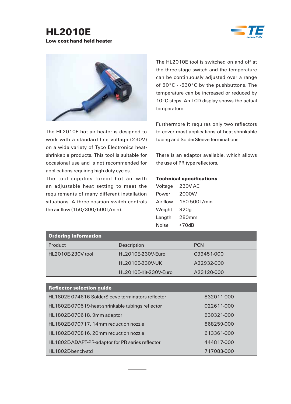### HL2010E Low cost hand held heater





The HL2010E hot air heater is designed to work with a standard line voltage (230V) on a wide variety of Tyco Electronics heatshrinkable products. This tool is suitable for occasional use and is not recommended for applications requiring high duty cycles.

The tool supplies forced hot air with an adjustable heat setting to meet the requirements of many different installation situations. A three-position switch controls the air flow (150/300/500 l/min).

The HL2010E tool is switched on and off at the three-stage switch and the temperature can be continuously adjusted over a range of 50°C - -630°C by the pushbuttons. The temperature can be increased or reduced by 10°C steps. An LCD display shows the actual temperature.

Furthermore it requires only two reflectors to cover most applications of heat-shrinkable tubing and SolderSleeve terminations.

There is an adaptor available, which allows the use of PR type reflectors.

#### Technical specifications

| Voltage  | 230V AC       |
|----------|---------------|
| Power    | 2000W         |
| Air flow | 150-500 l/min |
| Weight   | 920g          |
| Length   | 280mm         |
| Noise    | $<$ 70dB      |

| <b>Ordering information</b> |                       |            |
|-----------------------------|-----------------------|------------|
| Product                     | <b>Description</b>    | <b>PCN</b> |
| HL2010E-230V tool           | HL2010E-230V-Euro     | C99451-000 |
|                             | HL2010E-230V-UK       | A22932-000 |
|                             | HL2010E-Kit-230V-Euro | A23120-000 |

| <b>Reflector selection quide</b>                  |            |
|---------------------------------------------------|------------|
| HL1802E-074616-SolderSleeve terminators reflector | 832011-000 |
| HL1802E-070519-heat-shrinkable tubings reflector  | 022611-000 |
| HL1802E-070618, 9mm adaptor                       | 930321-000 |
| HL1802E-070717, 14mm reduction nozzle             | 868259-000 |
| HL1802E-070816, 20mm reduction nozzle             | 613361-000 |
| HL1802E-ADAPT-PR-adaptor for PR series reflector  | 444817-000 |
| HL1802E-bench-std                                 | 717083-000 |